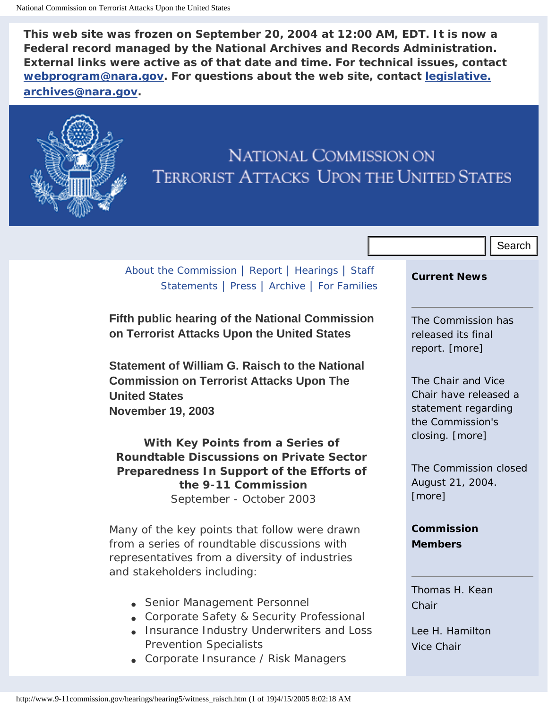**This web site was frozen on September 20, 2004 at 12:00 AM, EDT. It is now a Federal record managed by the National Archives and Records Administration. External links were active as of that date and time. For technical issues, contact [webprogram@nara.gov](mailto:webprogram@nara.gov). For questions about the web site, contact [legislative.](mailto:legislative.archives@nara.gov) [archives@nara.gov.](mailto:legislative.archives@nara.gov)**



# **NATIONAL COMMISSION ON TERRORIST ATTACKS UPON THE UNITED STATES**

# [About the Commission](http://www.9-11commission.gov/about/index.htm) | [Report](http://www.9-11commission.gov/report/index.htm) | [Hearings](http://www.9-11commission.gov/hearings/index.htm) | [Staff](http://www.9-11commission.gov/staff_statements/index.htm) [Statements](http://www.9-11commission.gov/staff_statements/index.htm) | [Press](http://www.9-11commission.gov/press/index.htm) | [Archive](http://www.9-11commission.gov/archive/index.htm) | [For Families](http://www.9-11commission.gov/family/index.htm)

**Fifth public hearing of the National Commission on Terrorist Attacks Upon the United States**

**Statement of William G. Raisch to the National Commission on Terrorist Attacks Upon The United States November 19, 2003**

**With Key Points from a Series of Roundtable Discussions on Private Sector Preparedness In Support of the Efforts of the 9-11 Commission** September - October 2003 About the Commission. [Report | Hearings.] Staff **Current News**<br> **Statements** | Press. | Archive | For Families<br> **Fifth public hearing of the National Commission are only and the United States**<br> **on Terrorist Attacks Upon** 

Many of the key points that follow were drawn from a series of roundtable discussions with representatives from a diversity of industries and stakeholders including:

- Senior Management Personnel
- Corporate Safety & Security Professional
- Insurance Industry Underwriters and Loss Prevention Specialists
- Corporate Insurance / Risk Managers

#### **Current News**

The Commission has released its final report. [[more](http://www.9-11commission.gov/report/index.htm)]

The Chair and Vice Chair have released a statement regarding the Commission's closing. [[more](http://www.9-11commission.gov/press/pr_2004-08-20b.pdf)]

The Commission closed August 21, 2004. [[more\]](http://www.9-11commission.gov/press/pr_2004-08-20a.pdf)

**[Commission](http://www.9-11commission.gov/about/bios.htm)  [Members](http://www.9-11commission.gov/about/bios.htm)**

[Thomas H. Kean](http://www.9-11commission.gov/about/bio_kean.htm) *[Chair](http://www.9-11commission.gov/about/bio_kean.htm)*

[Lee H. Hamilton](http://www.9-11commission.gov/about/bio_hamilton.htm) *[Vice Chair](http://www.9-11commission.gov/about/bio_hamilton.htm)*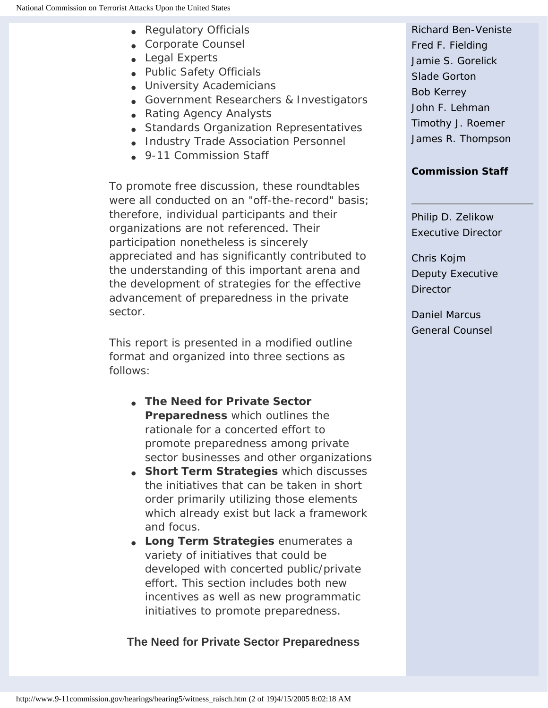- Regulatory Officials
- Corporate Counsel
- Legal Experts
- Public Safety Officials
- University Academicians
- Government Researchers & Investigators
- Rating Agency Analysts
- Standards Organization Representatives
- Industry Trade Association Personnel
- 9-11 Commission Staff

To promote free discussion, these roundtables were all conducted on an "off-the-record" basis; therefore, individual participants and their organizations are not referenced. Their participation nonetheless is sincerely appreciated and has significantly contributed to the understanding of this important arena and the development of strategies for the effective advancement of preparedness in the private sector.

This report is presented in a modified outline format and organized into three sections as follows:

- **The Need for Private Sector Preparedness** which outlines the rationale for a concerted effort to promote preparedness among private sector businesses and other organizations
- **Short Term Strategies** which discusses the initiatives that can be taken in short order primarily utilizing those elements which already exist but lack a framework and focus.
- **Long Term Strategies** enumerates a variety of initiatives that could be developed with concerted public/private effort. This section includes both new incentives as well as new programmatic initiatives to promote preparedness.

## **The Need for Private Sector Preparedness**

[Richard Ben-Veniste](http://www.9-11commission.gov/about/bio_ben-veniste.htm) [Fred F. Fielding](http://www.9-11commission.gov/about/bio_fielding.htm) [Jamie S. Gorelick](http://www.9-11commission.gov/about/bio_gorelick.htm)  [Slade Gorton](http://www.9-11commission.gov/about/bio_gorton.htm) [Bob Kerrey](http://www.9-11commission.gov/about/bio_kerrey.htm)  [John F. Lehman](http://www.9-11commission.gov/about/bio_lehman.htm)  [Timothy J. Roemer](http://www.9-11commission.gov/about/bio_roemer.htm) [James R. Thompson](http://www.9-11commission.gov/about/bio_thompson.htm)

#### **[Commission Staff](http://www.9-11commission.gov/about/bios_staff.htm)**

[Philip D. Zelikow](http://www.9-11commission.gov/about/bio_zelikow.htm) *[Executive Director](http://www.9-11commission.gov/about/bio_zelikow.htm)*

[Chris Kojm](http://www.9-11commission.gov/about/bio_kojm.htm) *[Deputy Executive](http://www.9-11commission.gov/about/bio_kojm.htm)  [Director](http://www.9-11commission.gov/about/bio_kojm.htm)*

[Daniel Marcus](http://www.9-11commission.gov/about/bio_marcus.htm) *[General Counsel](http://www.9-11commission.gov/about/bio_marcus.htm)*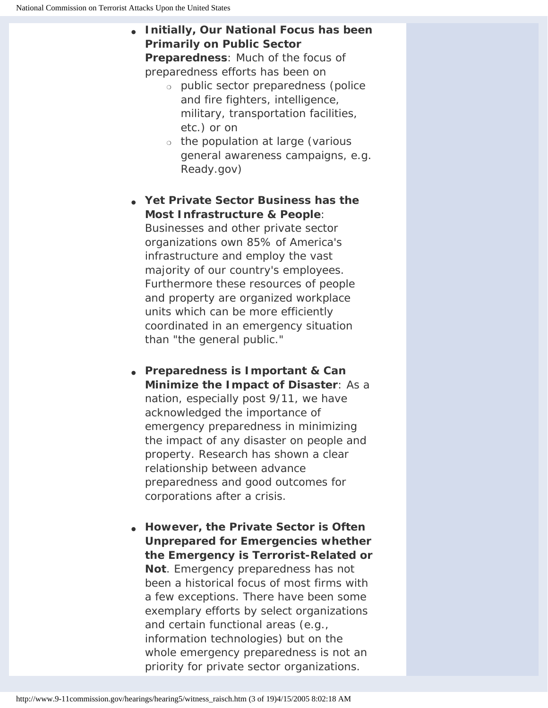● **Initially, Our National Focus has been Primarily on Public Sector** 

**Preparedness**: Much of the focus of preparedness efforts has been on

- ❍ public sector preparedness (police and fire fighters, intelligence, military, transportation facilities, etc.) or on
- ❍ the population at large (various general awareness campaigns, e.g. Ready.gov)
- **Yet Private Sector Business has the Most Infrastructure & People**: Businesses and other private sector organizations own 85% of America's infrastructure and employ the vast

majority of our country's employees. Furthermore these resources of people and property are organized workplace units which can be more efficiently coordinated in an emergency situation than "the general public."

- **Preparedness is Important & Can Minimize the Impact of Disaster**: As a nation, especially post 9/11, we have acknowledged the importance of emergency preparedness in minimizing the impact of any disaster on people and property. Research has shown a clear relationship between advance preparedness and good outcomes for corporations after a crisis.
- **However, the Private Sector is Often Unprepared for Emergencies whether the Emergency is Terrorist-Related or Not**. Emergency preparedness has not been a historical focus of most firms with a few exceptions. There have been some exemplary efforts by select organizations and certain functional areas (e.g., information technologies) but on the whole emergency preparedness is not an priority for private sector organizations.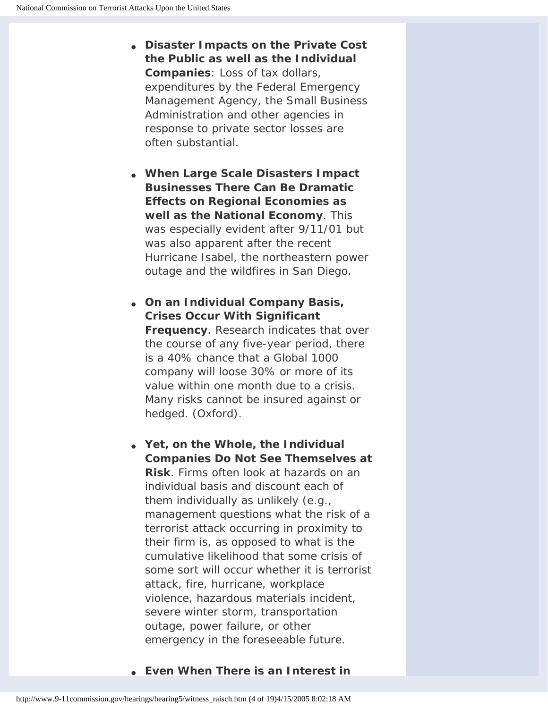- **Disaster Impacts on the Private Cost the Public as well as the Individual Companies**: Loss of tax dollars, expenditures by the Federal Emergency Management Agency, the Small Business Administration and other agencies in response to private sector losses are often substantial.
- **When Large Scale Disasters Impact Businesses There Can Be Dramatic Effects on Regional Economies as well as the National Economy**. This was especially evident after 9/11/01 but was also apparent after the recent Hurricane Isabel, the northeastern power outage and the wildfires in San Diego.
- **On an Individual Company Basis, Crises Occur With Significant Frequency**. Research indicates that over the course of any five-year period, there is a 40% chance that a Global 1000 company will loose 30% or more of its value within one month due to a crisis. Many risks cannot be insured against or hedged. (Oxford).
- **Yet, on the Whole, the Individual Companies Do Not See Themselves at Risk**. Firms often look at hazards on an individual basis and discount each of them individually as unlikely (e.g., management questions what the risk of a terrorist attack occurring in proximity to their firm is, as opposed to what is the cumulative likelihood that some crisis of some sort will occur whether it is terrorist attack, fire, hurricane, workplace violence, hazardous materials incident, severe winter storm, transportation outage, power failure, or other emergency in the foreseeable future.
- **Even When There is an Interest in**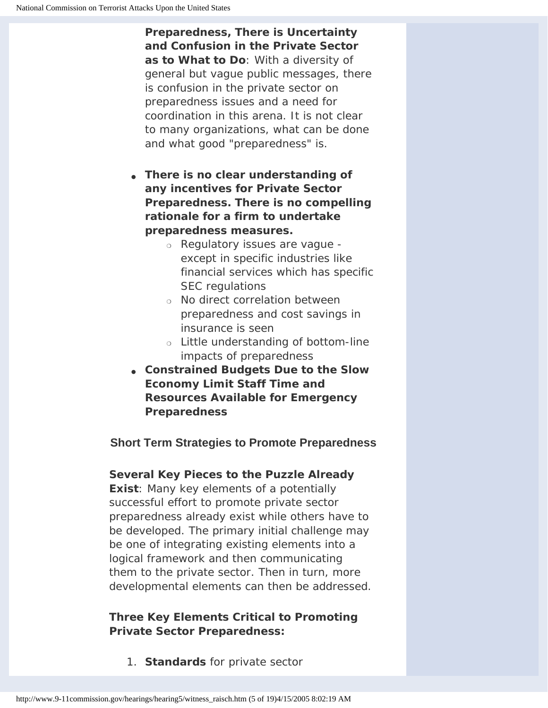**Preparedness, There is Uncertainty and Confusion in the Private Sector as to What to Do**: With a diversity of general but vague public messages, there is confusion in the private sector on preparedness issues and a need for coordination in this arena. It is not clear to many organizations, what can be done and what good "preparedness" is.

- **There is no clear understanding of any incentives for Private Sector Preparedness. There is no compelling rationale for a firm to undertake preparedness measures.**
	- ❍ Regulatory issues are vague except in specific industries like financial services which has specific SEC regulations
	- ❍ No direct correlation between preparedness and cost savings in insurance is seen
	- ❍ Little understanding of bottom-line impacts of preparedness
- **Constrained Budgets Due to the Slow Economy Limit Staff Time and Resources Available for Emergency Preparedness**

# **Short Term Strategies to Promote Preparedness**

## **Several Key Pieces to the Puzzle Already**

**Exist**: Many key elements of a potentially successful effort to promote private sector preparedness already exist while others have to be developed. The primary initial challenge may be one of integrating existing elements into a logical framework and then communicating them to the private sector. Then in turn, more developmental elements can then be addressed.

# **Three Key Elements Critical to Promoting Private Sector Preparedness:**

1. **Standards** for private sector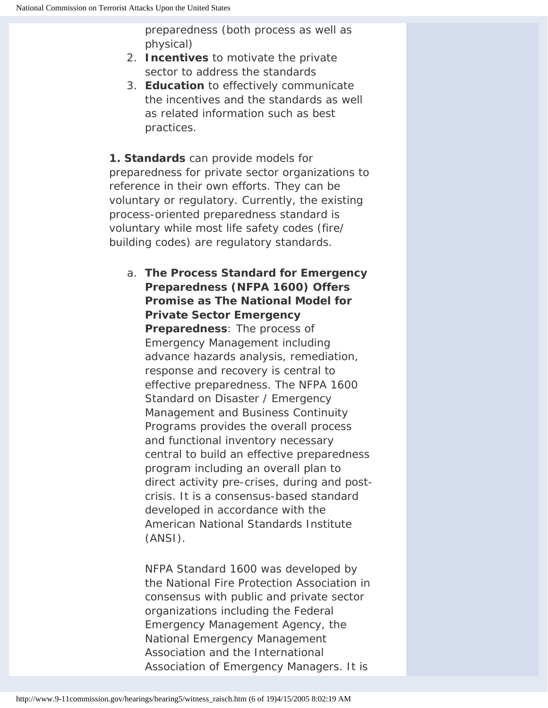preparedness (both process as well as physical)

- 2. **Incentives** to motivate the private sector to address the standards
- 3. **Education** to effectively communicate the incentives and the standards as well as related information such as best practices.

**1. Standards** can provide models for preparedness for private sector organizations to reference in their own efforts. They can be voluntary or regulatory. Currently, the existing process-oriented preparedness standard is voluntary while most life safety codes (fire/ building codes) are regulatory standards.

a. **The Process Standard for Emergency Preparedness (NFPA 1600) Offers Promise as The National Model for Private Sector Emergency Preparedness**: The process of Emergency Management including advance hazards analysis, remediation, response and recovery is central to effective preparedness. The NFPA 1600 Standard on Disaster / Emergency Management and Business Continuity Programs provides the overall process and functional inventory necessary central to build an effective preparedness program including an overall plan to direct activity pre-crises, during and postcrisis. It is a consensus-based standard developed in accordance with the American National Standards Institute (ANSI).

NFPA Standard 1600 was developed by the National Fire Protection Association in consensus with public and private sector organizations including the Federal Emergency Management Agency, the National Emergency Management Association and the International Association of Emergency Managers. It is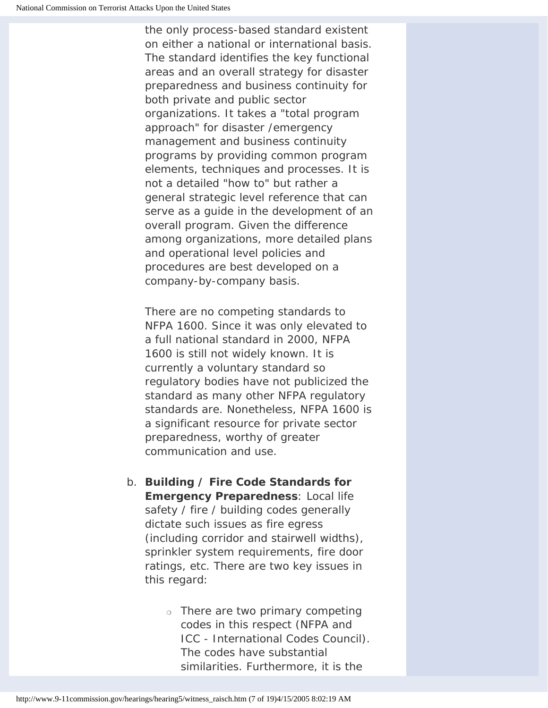the only process-based standard existent on either a national or international basis. The standard identifies the key functional areas and an overall strategy for disaster preparedness and business continuity for both private and public sector organizations. It takes a "total program approach" for disaster /emergency management and business continuity programs by providing common program elements, techniques and processes. It is not a detailed "how to" but rather a general strategic level reference that can serve as a guide in the development of an overall program. Given the difference among organizations, more detailed plans and operational level policies and procedures are best developed on a company-by-company basis.

There are no competing standards to NFPA 1600. Since it was only elevated to a full national standard in 2000, NFPA 1600 is still not widely known. It is currently a voluntary standard so regulatory bodies have not publicized the standard as many other NFPA regulatory standards are. Nonetheless, NFPA 1600 is a significant resource for private sector preparedness, worthy of greater communication and use.

- b. **Building / Fire Code Standards for Emergency Preparedness**: Local life safety / fire / building codes generally dictate such issues as fire egress (including corridor and stairwell widths), sprinkler system requirements, fire door ratings, etc. There are two key issues in this regard:
	- ❍ There are two primary competing codes in this respect (NFPA and ICC - International Codes Council). The codes have substantial similarities. Furthermore, it is the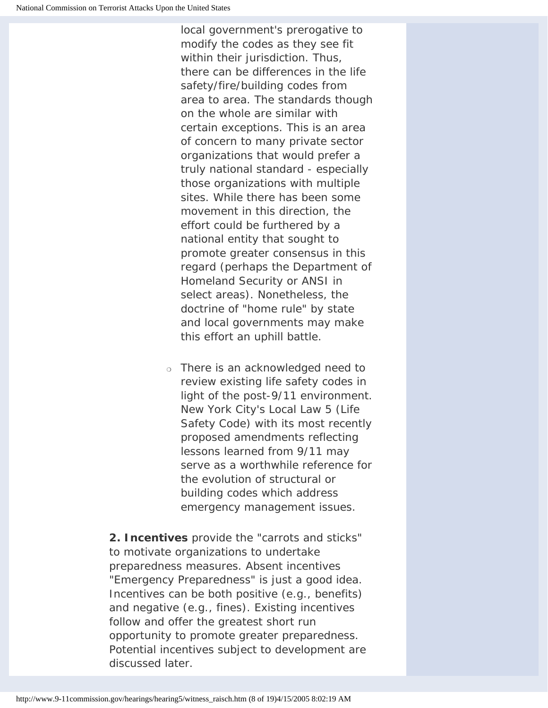local government's prerogative to modify the codes as they see fit within their jurisdiction. Thus, there can be differences in the life safety/fire/building codes from area to area. The standards though on the whole are similar with certain exceptions. This is an area of concern to many private sector organizations that would prefer a truly national standard - especially those organizations with multiple sites. While there has been some movement in this direction, the effort could be furthered by a national entity that sought to promote greater consensus in this regard (perhaps the Department of Homeland Security or ANSI in select areas). Nonetheless, the doctrine of "home rule" by state and local governments may make this effort an uphill battle.

❍ There is an acknowledged need to review existing life safety codes in light of the post-9/11 environment. New York City's Local Law 5 (Life Safety Code) with its most recently proposed amendments reflecting lessons learned from 9/11 may serve as a worthwhile reference for the evolution of structural or building codes which address emergency management issues.

**2. Incentives** provide the "carrots and sticks" to motivate organizations to undertake preparedness measures. Absent incentives "Emergency Preparedness" is just a good idea. Incentives can be both positive (e.g., benefits) and negative (e.g., fines). Existing incentives follow and offer the greatest short run opportunity to promote greater preparedness. Potential incentives subject to development are discussed later.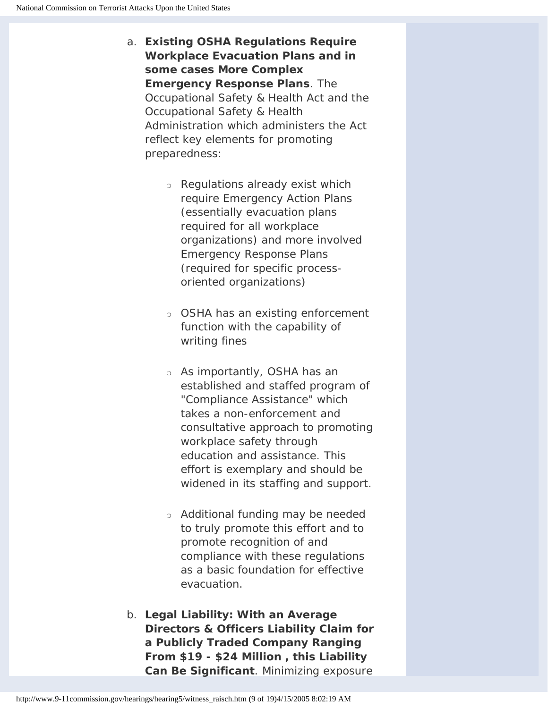- a. **Existing OSHA Regulations Require Workplace Evacuation Plans and in some cases More Complex Emergency Response Plans**. The Occupational Safety & Health Act and the Occupational Safety & Health Administration which administers the Act reflect key elements for promoting preparedness:
	- ❍ Regulations already exist which require Emergency Action Plans (essentially evacuation plans required for all workplace organizations) and more involved Emergency Response Plans (required for specific processoriented organizations)
	- ❍ OSHA has an existing enforcement function with the capability of writing fines
	- ❍ As importantly, OSHA has an established and staffed program of "Compliance Assistance" which takes a non-enforcement and consultative approach to promoting workplace safety through education and assistance. This effort is exemplary and should be widened in its staffing and support.
	- ❍ Additional funding may be needed to truly promote this effort and to promote recognition of and compliance with these regulations as a basic foundation for effective evacuation.
- b. **Legal Liability: With an Average Directors & Officers Liability Claim for a Publicly Traded Company Ranging From \$19 - \$24 Million , this Liability Can Be Significant**. Minimizing exposure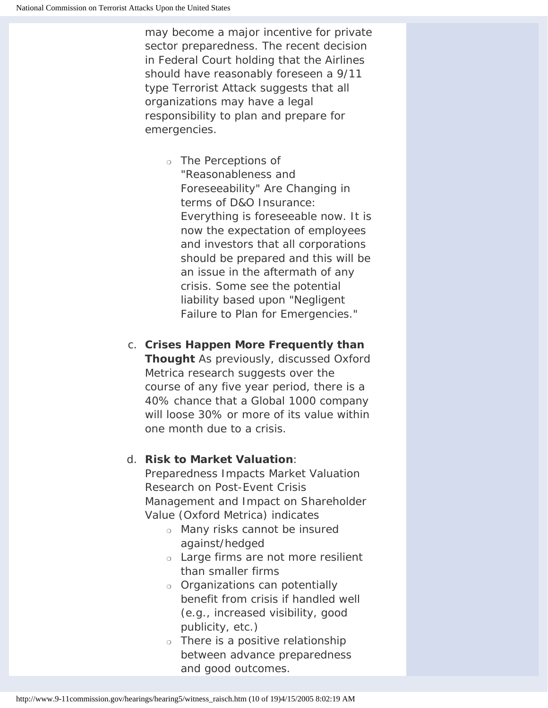may become a major incentive for private sector preparedness. The recent decision in Federal Court holding that the Airlines should have reasonably foreseen a 9/11 type Terrorist Attack suggests that all organizations may have a legal responsibility to plan and prepare for emergencies.

- ❍ The Perceptions of "Reasonableness and Foreseeability" Are Changing in terms of D&O Insurance: Everything is foreseeable now. It is now the expectation of employees and investors that all corporations should be prepared and this will be an issue in the aftermath of any crisis. Some see the potential liability based upon "Negligent Failure to Plan for Emergencies."
- c. **Crises Happen More Frequently than Thought** As previously, discussed Oxford Metrica research suggests over the course of any five year period, there is a 40% chance that a Global 1000 company will loose 30% or more of its value within one month due to a crisis.

## d. **Risk to Market Valuation**:

Preparedness Impacts Market Valuation Research on Post-Event Crisis Management and Impact on Shareholder Value (Oxford Metrica) indicates

- ❍ Many risks cannot be insured against/hedged
- ❍ Large firms are not more resilient than smaller firms
- ❍ Organizations can potentially benefit from crisis if handled well (e.g., increased visibility, good publicity, etc.)
- ❍ There is a positive relationship between advance preparedness and good outcomes.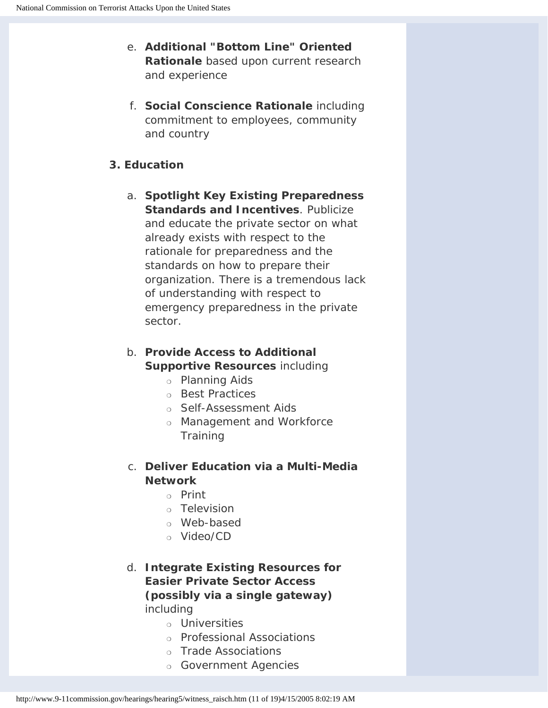- e. **Additional "Bottom Line" Oriented Rationale** based upon current research and experience
- f. **Social Conscience Rationale** including commitment to employees, community and country

### **3. Education**

- a. **Spotlight Key Existing Preparedness Standards and Incentives**. Publicize and educate the private sector on what already exists with respect to the rationale for preparedness and the standards on how to prepare their organization. There is a tremendous lack of understanding with respect to emergency preparedness in the private sector.
- b. **Provide Access to Additional Supportive Resources** including
	- ❍ Planning Aids
	- ❍ Best Practices
	- ❍ Self-Assessment Aids
	- ❍ Management and Workforce **Training**
- c. **Deliver Education via a Multi-Media Network**
	- ❍ Print
	- ❍ Television
	- ❍ Web-based
	- ❍ Video/CD
- d. **Integrate Existing Resources for Easier Private Sector Access (possibly via a single gateway)** including
	- ❍ Universities
	- ❍ Professional Associations
	- ❍ Trade Associations
	- ❍ Government Agencies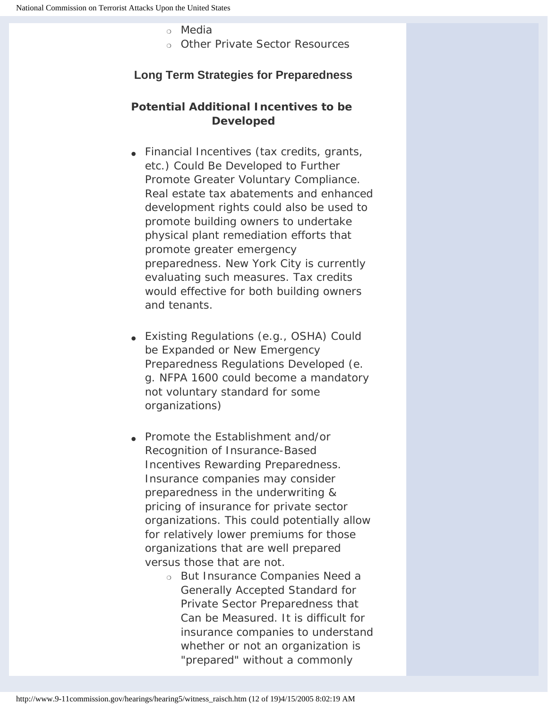### ❍ Media

❍ Other Private Sector Resources

## **Long Term Strategies for Preparedness**

## **Potential Additional Incentives to be Developed**

- Financial Incentives (tax credits, grants, etc.) Could Be Developed to Further Promote Greater Voluntary Compliance. Real estate tax abatements and enhanced development rights could also be used to promote building owners to undertake physical plant remediation efforts that promote greater emergency preparedness. New York City is currently evaluating such measures. Tax credits would effective for both building owners and tenants.
- Existing Regulations (e.g., OSHA) Could be Expanded or New Emergency Preparedness Regulations Developed (e. g. NFPA 1600 could become a mandatory not voluntary standard for some organizations)
- Promote the Establishment and/or Recognition of Insurance-Based Incentives Rewarding Preparedness. Insurance companies may consider preparedness in the underwriting & pricing of insurance for private sector organizations. This could potentially allow for relatively lower premiums for those organizations that are well prepared versus those that are not.
	- ❍ But Insurance Companies Need a Generally Accepted Standard for Private Sector Preparedness that Can be Measured. It is difficult for insurance companies to understand whether or not an organization is "prepared" without a commonly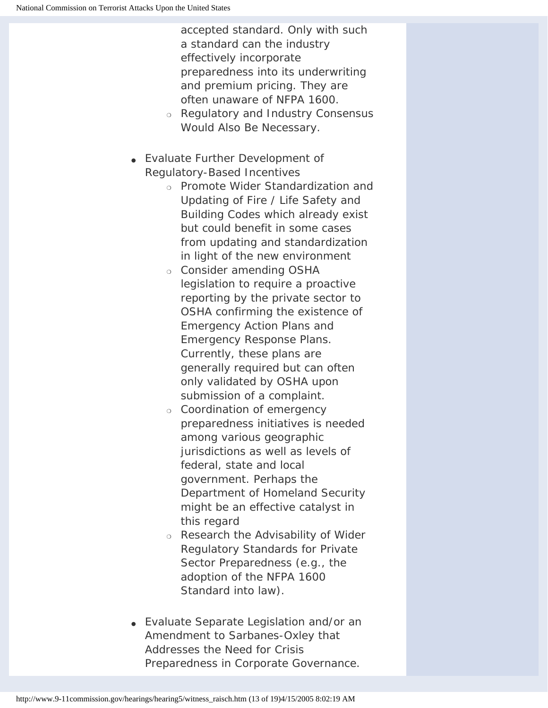accepted standard. Only with such a standard can the industry effectively incorporate preparedness into its underwriting and premium pricing. They are often unaware of NFPA 1600.

- ❍ Regulatory and Industry Consensus Would Also Be Necessary.
- Evaluate Further Development of Regulatory-Based Incentives
	- ❍ Promote Wider Standardization and Updating of Fire / Life Safety and Building Codes which already exist but could benefit in some cases from updating and standardization in light of the new environment
	- ❍ Consider amending OSHA legislation to require a proactive reporting by the private sector to OSHA confirming the existence of Emergency Action Plans and Emergency Response Plans. Currently, these plans are generally required but can often only validated by OSHA upon submission of a complaint.
	- ❍ Coordination of emergency preparedness initiatives is needed among various geographic jurisdictions as well as levels of federal, state and local government. Perhaps the Department of Homeland Security might be an effective catalyst in this regard
	- ❍ Research the Advisability of Wider Regulatory Standards for Private Sector Preparedness (e.g., the adoption of the NFPA 1600 Standard into law).
- Evaluate Separate Legislation and/or an Amendment to Sarbanes-Oxley that Addresses the Need for Crisis Preparedness in Corporate Governance.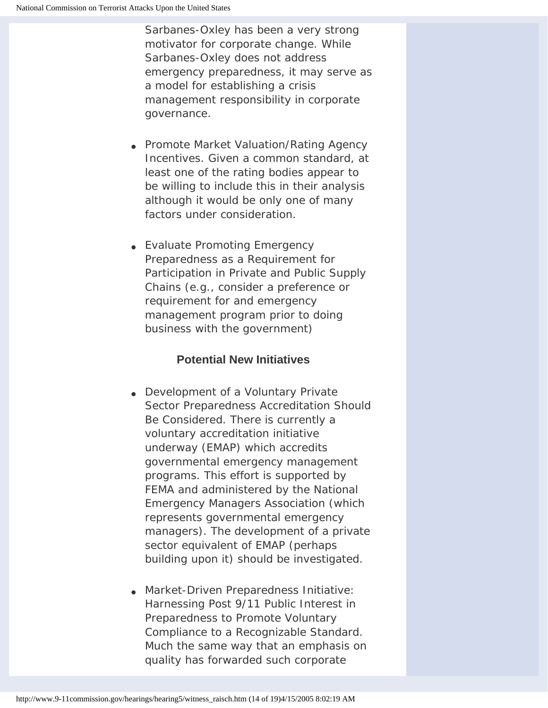Sarbanes-Oxley has been a very strong motivator for corporate change. While Sarbanes-Oxley does not address emergency preparedness, it may serve as a model for establishing a crisis management responsibility in corporate governance.

- Promote Market Valuation/Rating Agency Incentives. Given a common standard, at least one of the rating bodies appear to be willing to include this in their analysis although it would be only one of many factors under consideration.
- Evaluate Promoting Emergency Preparedness as a Requirement for Participation in Private and Public Supply Chains (e.g., consider a preference or requirement for and emergency management program prior to doing business with the government)

## **Potential New Initiatives**

- Development of a Voluntary Private Sector Preparedness Accreditation Should Be Considered. There is currently a voluntary accreditation initiative underway (EMAP) which accredits governmental emergency management programs. This effort is supported by FEMA and administered by the National Emergency Managers Association (which represents governmental emergency managers). The development of a private sector equivalent of EMAP (perhaps building upon it) should be investigated.
- Market-Driven Preparedness Initiative: Harnessing Post 9/11 Public Interest in Preparedness to Promote Voluntary Compliance to a Recognizable Standard. Much the same way that an emphasis on quality has forwarded such corporate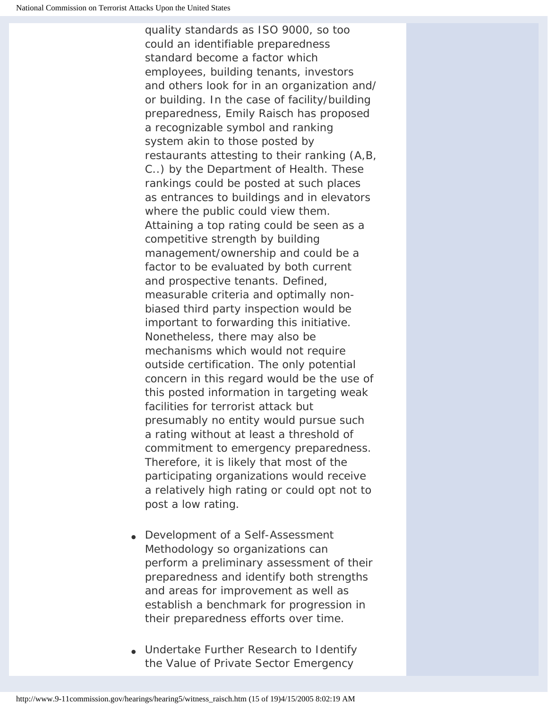quality standards as ISO 9000, so too could an identifiable preparedness standard become a factor which employees, building tenants, investors and others look for in an organization and/ or building. In the case of facility/building preparedness, Emily Raisch has proposed a recognizable symbol and ranking system akin to those posted by restaurants attesting to their ranking (A,B, C..) by the Department of Health. These rankings could be posted at such places as entrances to buildings and in elevators where the public could view them. Attaining a top rating could be seen as a competitive strength by building management/ownership and could be a factor to be evaluated by both current and prospective tenants. Defined, measurable criteria and optimally nonbiased third party inspection would be important to forwarding this initiative. Nonetheless, there may also be mechanisms which would not require outside certification. The only potential concern in this regard would be the use of this posted information in targeting weak facilities for terrorist attack but presumably no entity would pursue such a rating without at least a threshold of commitment to emergency preparedness. Therefore, it is likely that most of the participating organizations would receive a relatively high rating or could opt not to post a low rating.

- Development of a Self-Assessment Methodology so organizations can perform a preliminary assessment of their preparedness and identify both strengths and areas for improvement as well as establish a benchmark for progression in their preparedness efforts over time.
- Undertake Further Research to Identify the Value of Private Sector Emergency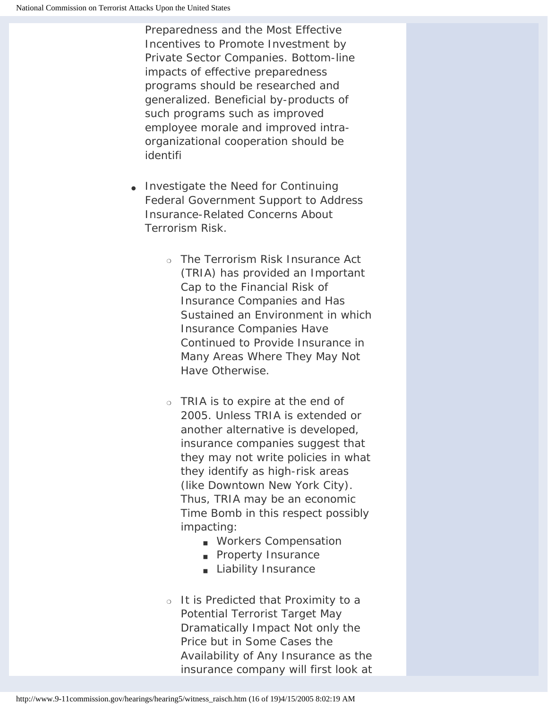Preparedness and the Most Effective Incentives to Promote Investment by Private Sector Companies. Bottom-line impacts of effective preparedness programs should be researched and generalized. Beneficial by-products of such programs such as improved employee morale and improved intraorganizational cooperation should be identifi

- Investigate the Need for Continuing Federal Government Support to Address Insurance-Related Concerns About Terrorism Risk.
	- ❍ The Terrorism Risk Insurance Act (TRIA) has provided an Important Cap to the Financial Risk of Insurance Companies and Has Sustained an Environment in which Insurance Companies Have Continued to Provide Insurance in Many Areas Where They May Not Have Otherwise.
	- ❍ TRIA is to expire at the end of 2005. Unless TRIA is extended or another alternative is developed, insurance companies suggest that they may not write policies in what they identify as high-risk areas (like Downtown New York City). Thus, TRIA may be an economic Time Bomb in this respect possibly impacting:
		- Workers Compensation
		- Property Insurance
		- Liability Insurance
	- ❍ It is Predicted that Proximity to a Potential Terrorist Target May Dramatically Impact Not only the Price but in Some Cases the Availability of Any Insurance as the insurance company will first look at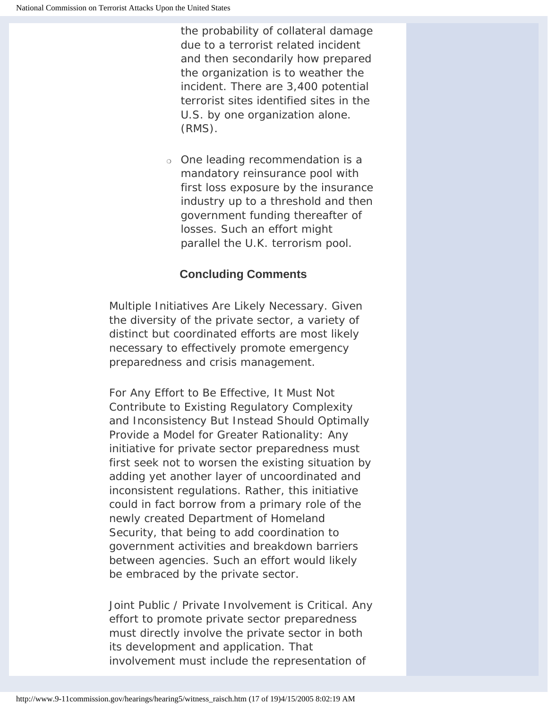the probability of collateral damage due to a terrorist related incident and then secondarily how prepared the organization is to weather the incident. There are 3,400 potential terrorist sites identified sites in the U.S. by one organization alone. (RMS).

❍ One leading recommendation is a mandatory reinsurance pool with first loss exposure by the insurance industry up to a threshold and then government funding thereafter of losses. Such an effort might parallel the U.K. terrorism pool.

# **Concluding Comments**

Multiple Initiatives Are Likely Necessary. Given the diversity of the private sector, a variety of distinct but coordinated efforts are most likely necessary to effectively promote emergency preparedness and crisis management.

For Any Effort to Be Effective, It Must Not Contribute to Existing Regulatory Complexity and Inconsistency But Instead Should Optimally Provide a Model for Greater Rationality: Any initiative for private sector preparedness must first seek not to worsen the existing situation by adding yet another layer of uncoordinated and inconsistent regulations. Rather, this initiative could in fact borrow from a primary role of the newly created Department of Homeland Security, that being to add coordination to government activities and breakdown barriers between agencies. Such an effort would likely be embraced by the private sector.

Joint Public / Private Involvement is Critical. Any effort to promote private sector preparedness must directly involve the private sector in both its development and application. That involvement must include the representation of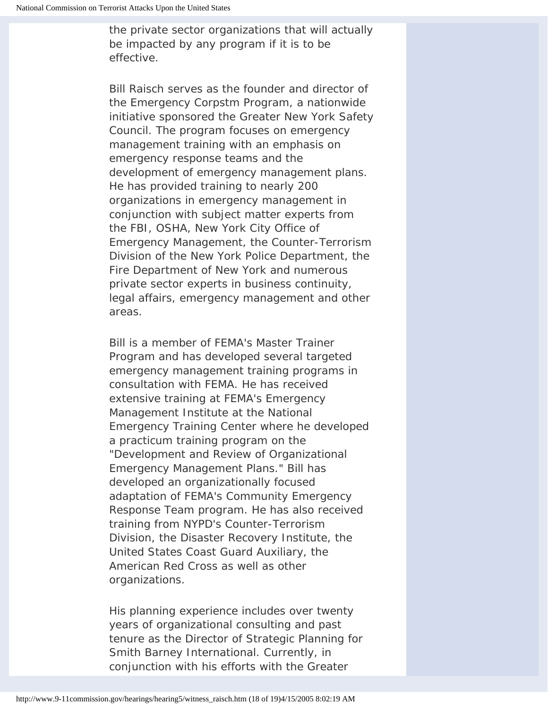the private sector organizations that will actually be impacted by any program if it is to be effective.

*Bill Raisch serves as the founder and director of the Emergency Corpstm Program, a nationwide initiative sponsored the Greater New York Safety Council. The program focuses on emergency management training with an emphasis on emergency response teams and the development of emergency management plans. He has provided training to nearly 200 organizations in emergency management in conjunction with subject matter experts from the FBI, OSHA, New York City Office of Emergency Management, the Counter-Terrorism Division of the New York Police Department, the Fire Department of New York and numerous private sector experts in business continuity, legal affairs, emergency management and other areas.* 

*Bill is a member of FEMA's Master Trainer Program and has developed several targeted emergency management training programs in consultation with FEMA. He has received extensive training at FEMA's Emergency Management Institute at the National Emergency Training Center where he developed a practicum training program on the "Development and Review of Organizational Emergency Management Plans." Bill has developed an organizationally focused adaptation of FEMA's Community Emergency Response Team program. He has also received training from NYPD's Counter-Terrorism Division, the Disaster Recovery Institute, the United States Coast Guard Auxiliary, the American Red Cross as well as other organizations.* 

*His planning experience includes over twenty years of organizational consulting and past tenure as the Director of Strategic Planning for Smith Barney International. Currently, in conjunction with his efforts with the Greater*